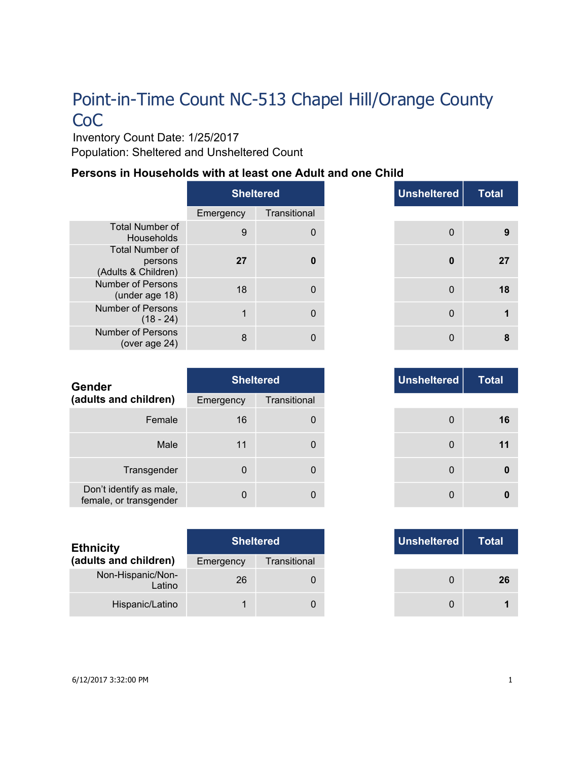Inventory Count Date: 1/25/2017 Population: Sheltered and Unsheltered Count

#### **Persons in Households with at least one Adult and one Child**

|                                                          | <b>Sheltered</b> |              |  |
|----------------------------------------------------------|------------------|--------------|--|
|                                                          | Emergency        | Transitional |  |
| <b>Total Number of</b><br>Households                     | 9                | O            |  |
| <b>Total Number of</b><br>persons<br>(Adults & Children) | 27               | n            |  |
| Number of Persons<br>(under age 18)                      | 18               |              |  |
| <b>Number of Persons</b><br>$(18 - 24)$                  | 1                |              |  |
| <b>Number of Persons</b><br>(over age 24)                | 8                |              |  |

|     | <b>Sheltered</b> |
|-----|------------------|
| าcy | Transitional     |
| 9   | 0                |
| 27  | 0                |
| 18  | $\mathbf 0$      |
| 1   | $\mathbf 0$      |
| 8   | $\Omega$         |

| Gender                                            | <b>Sheltered</b> |              |
|---------------------------------------------------|------------------|--------------|
| (adults and children)                             | Emergency        | Transitional |
| Female                                            | 16               | 0            |
| Male                                              | 11               | 0            |
| Transgender                                       | $\Omega$         | 0            |
| Don't identify as male,<br>female, or transgender | $\Omega$         | 0            |

| <b>Ethnicity</b>            |           | <b>Sheltered</b> |
|-----------------------------|-----------|------------------|
| (adults and children)       | Emergency | Transitional     |
| Non-Hispanic/Non-<br>Latino | 26        |                  |
| Hispanic/Latino             |           |                  |

| <b>Unsheltered</b> |   | <b>Sheltered</b> |          |
|--------------------|---|------------------|----------|
|                    |   | Transitional     |          |
| 0                  | 0 |                  | 16       |
| 0                  | 0 |                  | 11       |
| 0                  | 0 |                  | $\Omega$ |
| $\Omega$           | 0 |                  | 0        |

|     | <b>Sheltered</b> |
|-----|------------------|
| ٦CV | Transitional     |
|     |                  |
|     |                  |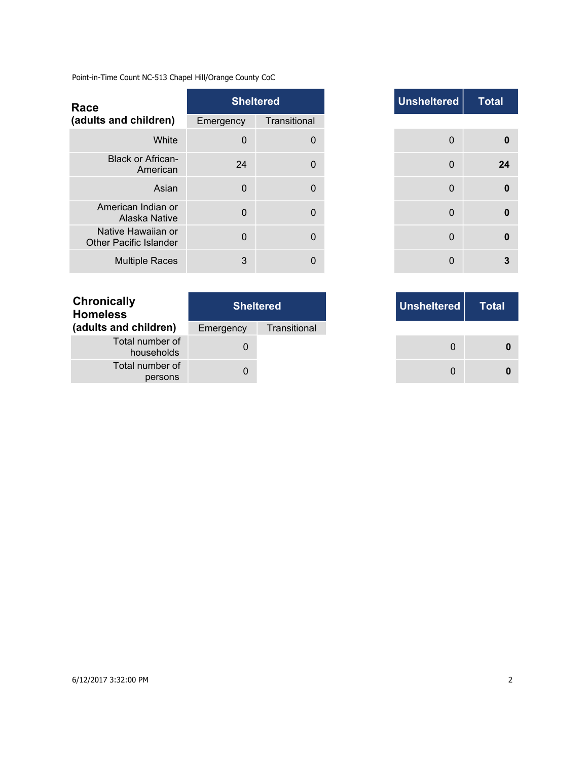| Race                                                |             | <b>Sheltered</b> |
|-----------------------------------------------------|-------------|------------------|
| (adults and children)                               | Emergency   | Transitional     |
| White                                               | $\mathbf 0$ | $\Omega$         |
| <b>Black or African-</b><br>American                | 24          | 0                |
| Asian                                               | $\Omega$    | 0                |
| American Indian or<br>Alaska Native                 | $\mathbf 0$ | 0                |
| Native Hawaiian or<br><b>Other Pacific Islander</b> | $\Omega$    | 0                |
| <b>Multiple Races</b>                               | 3           | 0                |

| <b>Chronically</b><br><b>Homeless</b> | <b>Sheltered</b> |              |  |  |
|---------------------------------------|------------------|--------------|--|--|
| (adults and children)                 | Emergency        | Transitional |  |  |
| Total number of<br>households         |                  |              |  |  |
| Total number of<br>persons            |                  |              |  |  |

|                | <b>Sheltered</b> |
|----------------|------------------|
|                | Transitional     |
| $\mathbf 0$    | $\mathbf 0$      |
| 24             | 0                |
| $\Omega$       | $\mathbf{0}$     |
| $\overline{0}$ | $\mathbf{0}$     |
| $\mathbf{0}$   | 0                |
| 3              | $\Omega$         |

|     | <b>Sheltered</b> |
|-----|------------------|
| าcy | Transitional     |
| 0   |                  |
| 0   |                  |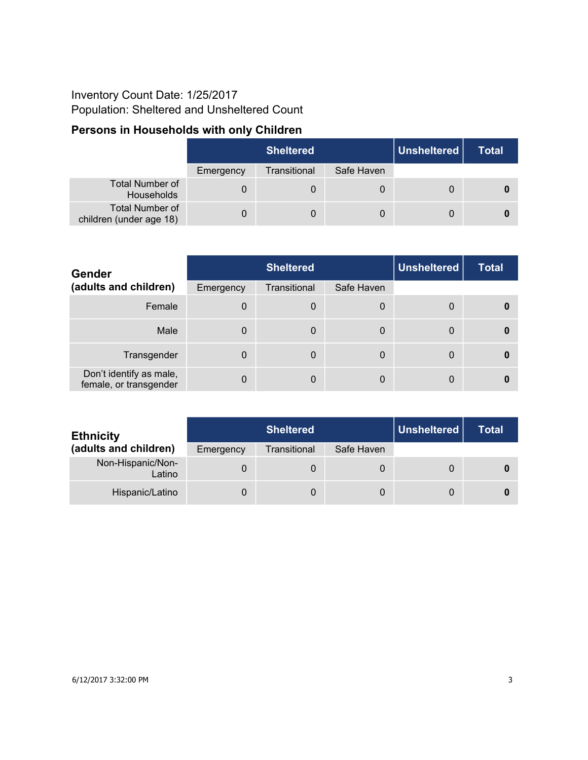## Inventory Count Date: 1/25/2017 Population: Sheltered and Unsheltered Count

## **Persons in Households with only Children**

|                                                   | <b>Sheltered</b> |              |            | Unsheltered | <b>Total</b> |
|---------------------------------------------------|------------------|--------------|------------|-------------|--------------|
|                                                   | Emergency        | Transitional | Safe Haven |             |              |
| <b>Total Number of</b><br>Households              |                  | 0            | 0          |             |              |
| <b>Total Number of</b><br>children (under age 18) |                  | 0            | 0          |             |              |

| Gender                                            | <b>Sheltered</b> |              |            | <b>Unsheltered</b> | <b>Total</b> |
|---------------------------------------------------|------------------|--------------|------------|--------------------|--------------|
| (adults and children)                             | Emergency        | Transitional | Safe Haven |                    |              |
| Female                                            | $\mathbf{0}$     | 0            | 0          | 0                  |              |
| Male                                              | $\Omega$         | $\mathbf 0$  | 0          | 0                  | 0            |
| Transgender                                       | 0                | $\mathbf 0$  | 0          | $\Omega$           | 0            |
| Don't identify as male,<br>female, or transgender | $\Omega$         | 0            | 0          | 0                  |              |

| <b>Ethnicity</b>            |           | <b>Sheltered</b> |            | Unsheltered | <b>Total</b> |
|-----------------------------|-----------|------------------|------------|-------------|--------------|
| (adults and children)       | Emergency | Transitional     | Safe Haven |             |              |
| Non-Hispanic/Non-<br>Latino |           |                  | 0          |             |              |
| Hispanic/Latino             |           |                  | 0          |             |              |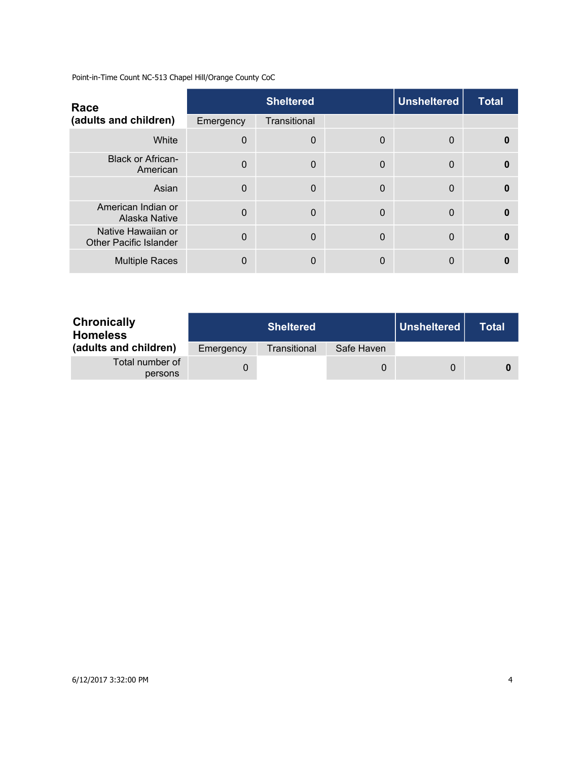| Race                                                |              | <b>Sheltered</b> |   | <b>Unsheltered</b> | <b>Total</b> |
|-----------------------------------------------------|--------------|------------------|---|--------------------|--------------|
| (adults and children)                               | Emergency    | Transitional     |   |                    |              |
| White                                               | $\mathbf{0}$ | $\mathbf 0$      | 0 | $\Omega$           |              |
| <b>Black or African-</b><br>American                | $\mathbf{0}$ | $\Omega$         | 0 | $\Omega$           | 0            |
| Asian                                               | 0            | $\Omega$         | 0 | $\Omega$           | 0            |
| American Indian or<br>Alaska Native                 | $\Omega$     | $\Omega$         | 0 | $\Omega$           |              |
| Native Hawaiian or<br><b>Other Pacific Islander</b> | 0            | $\Omega$         | 0 | $\Omega$           | 0            |
| <b>Multiple Races</b>                               | 0            | $\Omega$         | 0 | $\Omega$           |              |

| <b>Chronically</b><br><b>Homeless</b> |           | <b>Sheltered</b> |            | Unsheltered | Total |
|---------------------------------------|-----------|------------------|------------|-------------|-------|
| (adults and children)                 | Emergency | Transitional     | Safe Haven |             |       |
| Total number of<br>persons            |           |                  |            | 0           |       |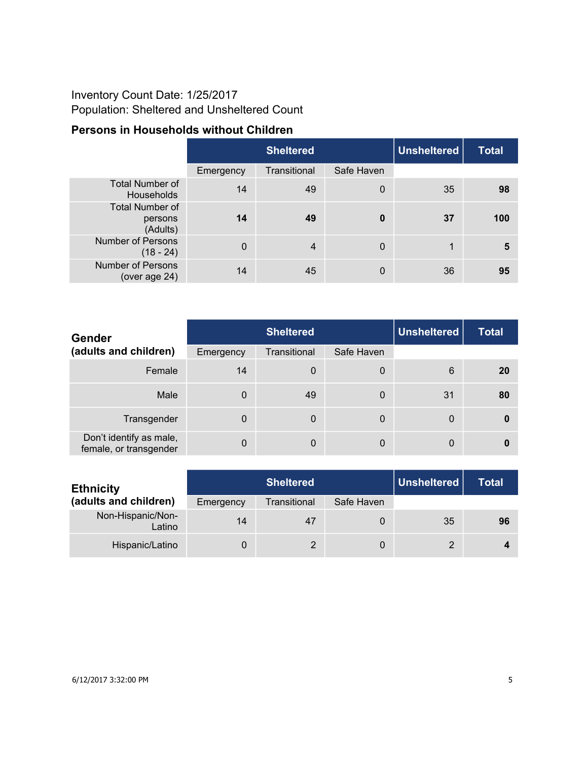## Inventory Count Date: 1/25/2017 Population: Sheltered and Unsheltered Count

#### **Persons in Households without Children**

|                                               |           | <b>Sheltered</b> |             |    | <b>Total</b> |
|-----------------------------------------------|-----------|------------------|-------------|----|--------------|
|                                               | Emergency | Transitional     | Safe Haven  |    |              |
| <b>Total Number of</b><br>Households          | 14        | 49               | $\mathbf 0$ | 35 | 98           |
| <b>Total Number of</b><br>persons<br>(Adults) | 14        | 49               | $\bf{0}$    | 37 | 100          |
| <b>Number of Persons</b><br>$(18 - 24)$       | $\Omega$  | $\overline{4}$   | $\Omega$    |    | 5            |
| <b>Number of Persons</b><br>(over age 24)     | 14        | 45               | $\mathbf 0$ | 36 | 95           |

| <b>Gender</b>                                     |           | <b>Sheltered</b> |            | <b>Unsheltered</b> | <b>Total</b> |
|---------------------------------------------------|-----------|------------------|------------|--------------------|--------------|
| (adults and children)                             | Emergency | Transitional     | Safe Haven |                    |              |
| Female                                            | 14        | $\mathbf 0$      | 0          | 6                  | 20           |
| Male                                              | $\Omega$  | 49               | 0          | 31                 | 80           |
| Transgender                                       | $\Omega$  | $\mathbf 0$      | 0          | $\Omega$           | 0            |
| Don't identify as male,<br>female, or transgender | 0         | 0                | 0          | 0                  |              |

| <b>Ethnicity</b>            |           | <b>Sheltered</b> |            | $\mid$ Unsheltered $\mid$ | Total |
|-----------------------------|-----------|------------------|------------|---------------------------|-------|
| (adults and children)       | Emergency | Transitional     | Safe Haven |                           |       |
| Non-Hispanic/Non-<br>Latino | 14        | 47               | 0          | 35                        | 96    |
| Hispanic/Latino             |           |                  | 0          | 2                         |       |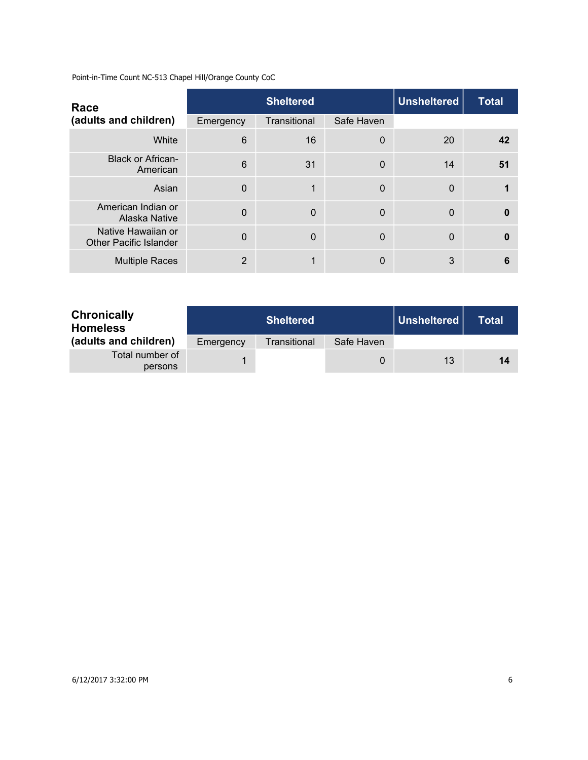| Race                                                |             | <b>Sheltered</b> |            | <b>Unsheltered</b> | <b>Total</b> |
|-----------------------------------------------------|-------------|------------------|------------|--------------------|--------------|
| (adults and children)                               | Emergency   | Transitional     | Safe Haven |                    |              |
| White                                               | 6           | 16               | 0          | 20                 | 42           |
| <b>Black or African-</b><br>American                | 6           | 31               | $\Omega$   | 14                 | 51           |
| Asian                                               | $\Omega$    | 1                | 0          | $\Omega$           |              |
| American Indian or<br>Alaska Native                 | $\Omega$    | $\Omega$         | 0          | $\Omega$           | 0            |
| Native Hawaiian or<br><b>Other Pacific Islander</b> | $\mathbf 0$ | $\Omega$         | 0          | $\mathbf 0$        | $\Omega$     |
| <b>Multiple Races</b>                               | 2           | 1                | 0          | 3                  | 6            |

| <b>Chronically</b><br><b>Homeless</b> |           | <b>Sheltered</b> |            | Unsheltered | Total |
|---------------------------------------|-----------|------------------|------------|-------------|-------|
| (adults and children)                 | Emergency | Transitional     | Safe Haven |             |       |
| Total number of<br>persons            |           |                  | 0          | 13          | 14    |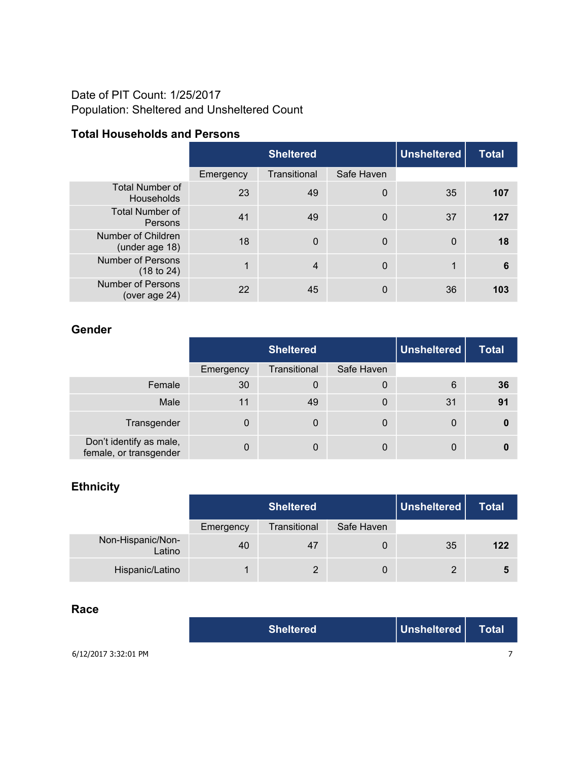#### Date of PIT Count: 1/25/2017 Population: Sheltered and Unsheltered Count

#### **Total Households and Persons**

|                                           | <b>Sheltered</b> |                |            | <b>Unsheltered</b> | <b>Total</b> |
|-------------------------------------------|------------------|----------------|------------|--------------------|--------------|
|                                           | Emergency        | Transitional   | Safe Haven |                    |              |
| <b>Total Number of</b><br>Households      | 23               | 49             | 0          | 35                 | 107          |
| <b>Total Number of</b><br>Persons         | 41               | 49             | 0          | 37                 | 127          |
| Number of Children<br>(under age 18)      | 18               | $\Omega$       | 0          | $\mathbf 0$        | 18           |
| <b>Number of Persons</b><br>(18 to 24)    | 1                | $\overline{4}$ | 0          | 1                  | 6            |
| <b>Number of Persons</b><br>(over age 24) | 22               | 45             | 0          | 36                 | 103          |

#### **Gender**

|                                                   |           | <b>Sheltered</b> |            | <b>Unsheltered</b> | <b>Total</b> |
|---------------------------------------------------|-----------|------------------|------------|--------------------|--------------|
|                                                   | Emergency | Transitional     | Safe Haven |                    |              |
| Female                                            | 30        | $\overline{0}$   | 0          | 6                  | 36           |
| Male                                              | 11        | 49               | 0          | 31                 | 91           |
| Transgender                                       | 0         | 0                | 0          | 0                  | 0            |
| Don't identify as male,<br>female, or transgender | 0         | 0                | 0          | 0                  |              |

## **Ethnicity**

|                             |           | <b>Sheltered</b> |            | Unsheltered | <b>Total</b> |
|-----------------------------|-----------|------------------|------------|-------------|--------------|
|                             | Emergency | Transitional     | Safe Haven |             |              |
| Non-Hispanic/Non-<br>Latino | 40        | 47               | 0          | 35          | 122          |
| Hispanic/Latino             |           |                  |            | 2           | 5            |

#### **Race**

|                      | <b>Sheltered</b> | Unsheltered | <b>Total</b> |
|----------------------|------------------|-------------|--------------|
| 6/12/2017 3:32:01 PM |                  |             |              |